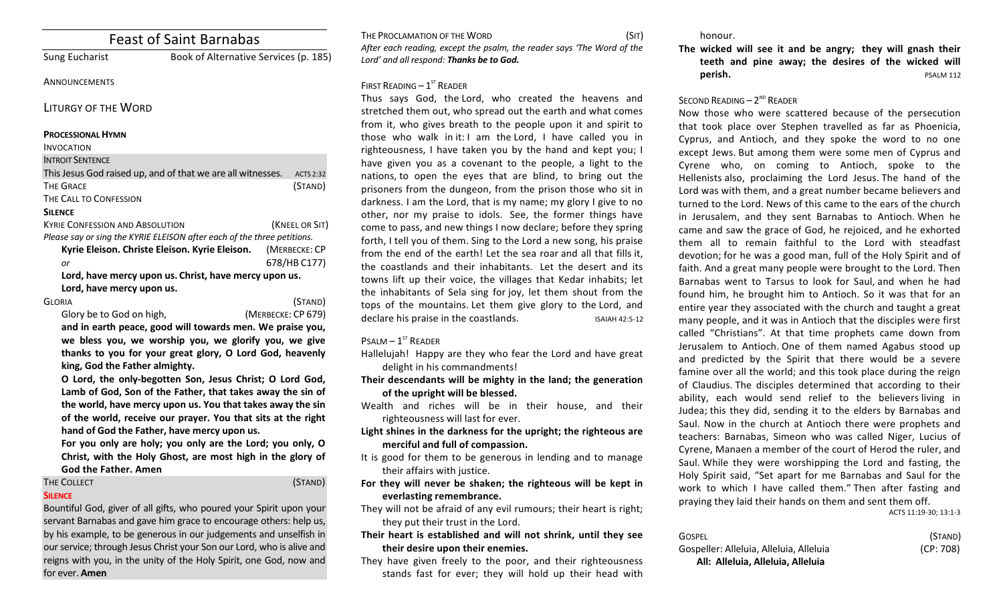# Feast of Saint Barnabas

Sung Eucharist Book of Alternative Services (p. 185)

#### **ANNOUNCEMENTS**

LITURGY OF THE WORD

#### **PROCESSIONAL HYMN**

**INTROIT SENTENCE** 

| This Jesus God raised up, and of that we are all witnesses.             | <b>ACTS 2:32</b> |  |
|-------------------------------------------------------------------------|------------------|--|
| <b>THE GRACE</b>                                                        | (STAND)          |  |
| THE CALL TO CONFESSION                                                  |                  |  |
| <b>SILENCE</b>                                                          |                  |  |
| <b>KYRIE CONFESSION AND ABSOLUTION</b>                                  | (KNEEL OR SIT)   |  |
| Please say or sing the KYRIE ELEISON after each of the three petitions. |                  |  |
| Kyrie Eleison. Christe Eleison. Kyrie Eleison.                          | (MERBECKE: CP    |  |
| or                                                                      | 678/HB C177)     |  |

Lord, have mercy upon us. Christ, have mercy upon us. Lord, have mercy upon us.

| Gloria                   | (STAND)            |
|--------------------------|--------------------|
| Glory be to God on high, | (MERBECKE: CP 679) |

and in earth peace, good will towards men. We praise you, we bless you, we worship you, we glorify you, we give thanks to you for your great glory, O Lord God, heavenly king, God the Father almighty.

**O** Lord, the only-begotten Son, Jesus Christ; O Lord God, Lamb of God, Son of the Father, that takes away the sin of the world, have mercy upon us. You that takes away the sin of the world, receive our prayer. You that sits at the right hand of God the Father, have mercy upon us.

For you only are holy; you only are the Lord; you only, O Christ, with the Holy Ghost, are most high in the glory of **God the Father. Amen**

#### THE COLLECT (STAND)

#### **SILENCE**

Bountiful God, giver of all gifts, who poured your Spirit upon your servant Barnabas and gave him grace to encourage others: help us, by his example, to be generous in our judgements and unselfish in our service; through Jesus Christ your Son our Lord, who is alive and reigns with you, in the unity of the Holy Spirit, one God, now and for ever. **Amen** 

THE PROCLAMATION OF THE WORD (SIT) After each reading, except the psalm, the reader says 'The Word of the Lord' and all respond: **Thanks be to God.** 

#### FIRST READING  $-1^\text{ST}$  READER

Thus says God, the Lord, who created the heavens and stretched them out, who spread out the earth and what comes from it, who gives breath to the people upon it and spirit to those who walk in it: I am the Lord, I have called you in righteousness, I have taken you by the hand and kept you; I have given you as a covenant to the people, a light to the nations, to open the eyes that are blind, to bring out the prisoners from the dungeon, from the prison those who sit in darkness. I am the Lord, that is my name; my glory I give to no other, nor my praise to idols. See, the former things have come to pass, and new things I now declare; before they spring forth, I tell you of them. Sing to the Lord a new song, his praise from the end of the earth! Let the sea roar and all that fills it. the coastlands and their inhabitants. Let the desert and its towns lift up their voice, the villages that Kedar inhabits; let the inhabitants of Sela sing for joy, let them shout from the tops of the mountains. Let them give glory to the Lord, and declare his praise in the coastlands. ISAIAH 42:5-12

### $P$ SALM –  $1^{ST}$  READER

- Halleluiah! Happy are they who fear the Lord and have great delight in his commandments!
- Their descendants will be mighty in the land; the generation of the upright will be blessed.
- Wealth and riches will be in their house, and their righteousness will last for ever.
- Light shines in the darkness for the upright; the righteous are merciful and full of compassion.
- It is good for them to be generous in lending and to manage their affairs with justice.
- For they will never be shaken; the righteous will be kept in everlasting remembrance.
- They will not be afraid of any evil rumours; their heart is right; they put their trust in the Lord.
- Their heart is established and will not shrink, until they see **their desire upon their enemies.**
- They have given freely to the poor, and their righteousness stands fast for ever; they will hold up their head with

honour.

The wicked will see it and be angry; they will gnash their teeth and pine away; the desires of the wicked will **perish.** PSALM 112

### SECOND READING  $- 2<sup>ND</sup>$  READER

Now those who were scattered because of the persecution that took place over Stephen travelled as far as Phoenicia, Cyprus, and Antioch, and they spoke the word to no one except Jews. But among them were some men of Cyprus and Cyrene who, on coming to Antioch, spoke to the Hellenists also, proclaiming the Lord Jesus. The hand of the Lord was with them, and a great number became believers and turned to the Lord. News of this came to the ears of the church in Jerusalem, and they sent Barnabas to Antioch. When he came and saw the grace of God, he rejoiced, and he exhorted them all to remain faithful to the Lord with steadfast devotion; for he was a good man, full of the Holy Spirit and of faith. And a great many people were brought to the Lord. Then Barnabas went to Tarsus to look for Saul, and when he had found him, he brought him to Antioch. So it was that for an entire year they associated with the church and taught a great many people, and it was in Antioch that the disciples were first called "Christians". At that time prophets came down from Jerusalem to Antioch. One of them named Agabus stood up and predicted by the Spirit that there would be a severe famine over all the world; and this took place during the reign of Claudius. The disciples determined that according to their ability, each would send relief to the believers living in Judea; this they did, sending it to the elders by Barnabas and Saul. Now in the church at Antioch there were prophets and teachers: Barnabas, Simeon who was called Niger, Lucius of Cyrene, Manaen a member of the court of Herod the ruler, and Saul. While they were worshipping the Lord and fasting, the Holy Spirit said, "Set apart for me Barnabas and Saul for the work to which I have called them." Then after fasting and praying they laid their hands on them and sent them off.

ACTS 11:19-30; 13:1-3

| Gospel                                  | (STAND)   |
|-----------------------------------------|-----------|
| Gospeller: Alleluia, Alleluia, Alleluia | (CP: 708) |
| All: Alleluia, Alleluia, Alleluia       |           |